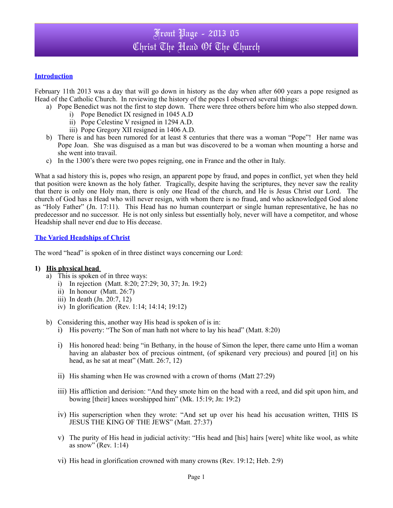## Front Page - 2013 05 Christ The Head Of The Church

### **Introduction**

February 11th 2013 was a day that will go down in history as the day when after 600 years a pope resigned as Head of the Catholic Church. In reviewing the history of the popes I observed several things:

- a) Pope Benedict was not the first to step down. There were three others before him who also stepped down.
	- i) Pope Benedict IX resigned in 1045 A.D
	- ii) Pope Celestine V resigned in 1294 A.D.
	- iii) Pope Gregory XII resigned in 1406 A.D.
- b) There is and has been rumored for at least 8 centuries that there was a woman "Pope"! Her name was Pope Joan. She was disguised as a man but was discovered to be a woman when mounting a horse and she went into travail.
- c) In the 1300's there were two popes reigning, one in France and the other in Italy.

What a sad history this is, popes who resign, an apparent pope by fraud, and popes in conflict, yet when they held that position were known as the holy father. Tragically, despite having the scriptures, they never saw the reality that there is only one Holy man, there is only one Head of the church, and He is Jesus Christ our Lord. The church of God has a Head who will never resign, with whom there is no fraud, and who acknowledged God alone as "Holy Father" (Jn. 17:11). This Head has no human counterpart or single human representative, he has no predecessor and no successor. He is not only sinless but essentially holy, never will have a competitor, and whose Headship shall never end due to His decease.

#### **The Varied Headships of Christ**

The word "head" is spoken of in three distinct ways concerning our Lord:

#### **1) His physical head**

- a) This is spoken of in three ways:
	- i) In rejection (Matt. 8:20; 27:29; 30, 37; Jn. 19:2)
	- ii) In honour (Matt. 26:7)
	- iii) In death (Jn. 20:7, 12)
	- iv) In glorification (Rev. 1:14; 14:14; 19:12)
- b) Considering this, another way His head is spoken of is in:
	- i) His poverty: "The Son of man hath not where to lay his head" (Matt. 8:20)
	- i) His honored head: being "in Bethany, in the house of Simon the leper, there came unto Him a woman having an alabaster box of precious ointment, (of spikenard very precious) and poured [it] on his head, as he sat at meat" (Matt. 26:7, 12)
	- ii) His shaming when He was crowned with a crown of thorns (Matt 27:29)
	- iii) His affliction and derision: "And they smote him on the head with a reed, and did spit upon him, and bowing [their] knees worshipped him" (Mk. 15:19; Jn: 19:2)
	- iv) His superscription when they wrote: "And set up over his head his accusation written, THIS IS JESUS THE KING OF THE JEWS" (Matt. 27:37)
	- v) The purity of His head in judicial activity: "His head and [his] hairs [were] white like wool, as white as snow" (Rev. 1:14)
	- vi) His head in glorification crowned with many crowns (Rev. 19:12; Heb. 2:9)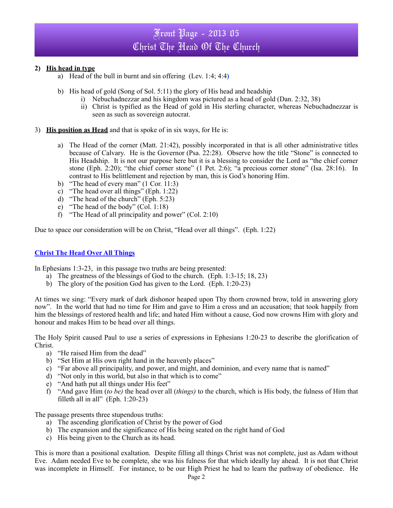# Front Page - 2013 05 Christ The Head Of The Church

## **2) His head in type**

- a) Head of the bull in burnt and sin offering (Lev. 1:4; 4:4**)**
- b) His head of gold (Song of Sol. 5:11) the glory of His head and headship
	- i) Nebuchadnezzar and his kingdom was pictured as a head of gold (Dan. 2:32, 38)
	- ii) Christ is typified as the Head of gold in His sterling character, whereas Nebuchadnezzar is seen as such as sovereign autocrat.
- 3) **His position as Head** and that is spoke of in six ways, for He is:
	- a) The Head of the corner (Matt. 21:42), possibly incorporated in that is all other administrative titles because of Calvary. He is the Governor (Psa. 22:28). Observe how the title "Stone" is connected to His Headship. It is not our purpose here but it is a blessing to consider the Lord as "the chief corner stone (Eph. 2:20); "the chief corner stone" (1 Pet. 2:6); "a precious corner stone" (Isa. 28:16). In contrast to His belittlement and rejection by man, this is God's honoring Him.
	- b) "The head of every man" (1 Cor. 11:3)
	- c) "The head over all things" (Eph. 1:22)
	- d) "The head of the church" (Eph. 5:23)
	- e) "The head of the body" (Col. 1:18)
	- f) "The Head of all principality and power" (Col. 2:10)

Due to space our consideration will be on Christ, "Head over all things". (Eph. 1:22)

#### **Christ The Head Over All Things**

In Ephesians 1:3-23, in this passage two truths are being presented:

- a) The greatness of the blessings of God to the church. (Eph. 1:3-15; 18, 23)
- b) The glory of the position God has given to the Lord. (Eph. 1:20-23)

At times we sing: "Every mark of dark dishonor heaped upon Thy thorn crowned brow, told in answering glory now". In the world that had no time for Him and gave to Him a cross and an accusation; that took happily from him the blessings of restored health and life; and hated Him without a cause, God now crowns Him with glory and honour and makes Him to be head over all things.

The Holy Spirit caused Paul to use a series of expressions in Ephesians 1:20-23 to describe the glorification of Christ.

- a) "He raised Him from the dead"
- b) "Set Him at His own right hand in the heavenly places"
- c) "Far above all principality, and power, and might, and dominion, and every name that is named"
- d) "Not only in this world, but also in that which is to come"
- e) "And hath put all things under His feet"
- f) "And gave Him (*to be)* the head over all (*things)* to the church, which is His body, the fulness of Him that filleth all in all" (Eph.  $1:20-23$ )

The passage presents three stupendous truths:

- a) The ascending glorification of Christ by the power of God
- b) The expansion and the significance of His being seated on the right hand of God
- c) His being given to the Church as its head.

This is more than a positional exaltation. Despite filling all things Christ was not complete, just as Adam without Eve. Adam needed Eve to be complete, she was his fulness for that which ideally lay ahead. It is not that Christ was incomplete in Himself. For instance, to be our High Priest he had to learn the pathway of obedience. He